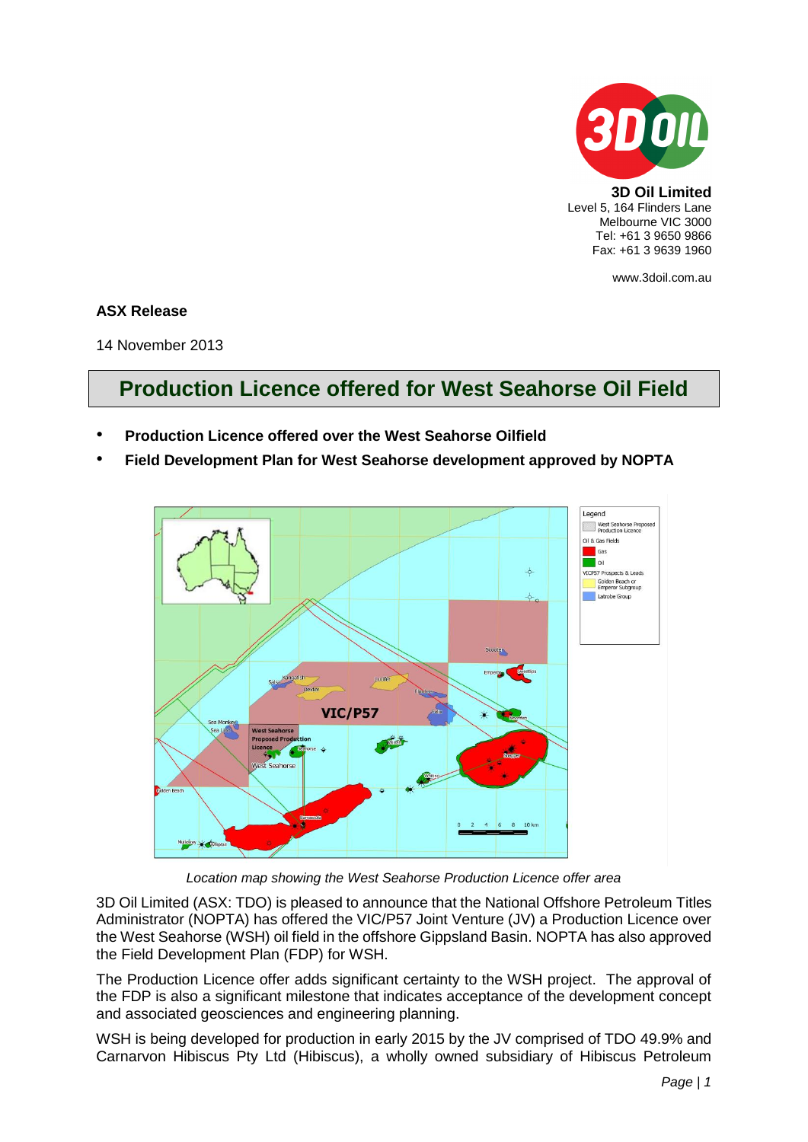

**3D Oil Limited** Level 5, 164 Flinders Lane Melbourne VIC 3000 Tel: +61 3 9650 9866 Fax: +61 3 9639 1960

www.3doil.com.au

## **ASX Release**

14 November 2013

## **Production Licence offered for West Seahorse Oil Field**

- **Production Licence offered over the West Seahorse Oilfield**
- **Field Development Plan for West Seahorse development approved by NOPTA**



*Location map showing the West Seahorse Production Licence offer area*

3D Oil Limited (ASX: TDO) is pleased to announce that the National Offshore Petroleum Titles Administrator (NOPTA) has offered the VIC/P57 Joint Venture (JV) a Production Licence over the West Seahorse (WSH) oil field in the offshore Gippsland Basin. NOPTA has also approved the Field Development Plan (FDP) for WSH.

The Production Licence offer adds significant certainty to the WSH project. The approval of the FDP is also a significant milestone that indicates acceptance of the development concept and associated geosciences and engineering planning.

WSH is being developed for production in early 2015 by the JV comprised of TDO 49.9% and Carnarvon Hibiscus Pty Ltd (Hibiscus), a wholly owned subsidiary of Hibiscus Petroleum